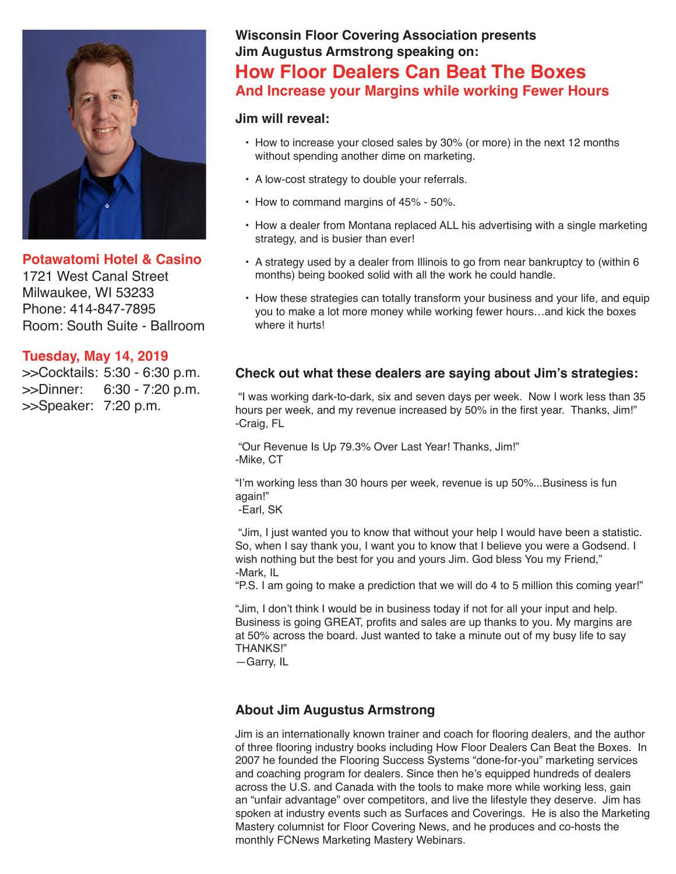

**Potawatomi Hotel & Casino** 1721 West Canal Street Milwaukee, WI 53233 Phone: 414-847-7895 Room: South Suite - Ballroom

#### **Tuesday, May 14, 2019**

>>Cocktails: 5:30 - 6:30 p.m. >>Dinner: 6:30 - 7:20 p.m. >>Speaker: 7:20 p.m.

## **Wisconsin Floor Covering Association presents Jim Augustus Armstrong speaking on:**

## **How Floor Dealers Can Beat The Boxes And Increase your Margins while working Fewer Hours**

#### **Jim will reveal:**

- How to increase your closed sales by 30% (or more) in the next 12 months without spending another dime on marketing.
- A low-cost strategy to double your referrals.
- How to command margins of 45% 50%.
- How a dealer from Montana replaced ALL his advertising with a single marketing strategy, and is busier than ever!
- A strategy used by a dealer from Illinois to go from near bankruptcy to (within 6 months) being booked solid with all the work he could handle.
- How these strategies can totally transform your business and your life, and equip you to make a lot more money while working fewer hours…and kick the boxes where it hurts!

#### **Check out what these dealers are saying about Jim's strategies:**

 "I was working dark-to-dark, six and seven days per week. Now I work less than 35 hours per week, and my revenue increased by 50% in the first year. Thanks, Jim!" -Craig, FL

 "Our Revenue Is Up 79.3% Over Last Year! Thanks, Jim!" -Mike, CT

"I'm working less than 30 hours per week, revenue is up 50%...Business is fun again!"

-Earl, SK

 "Jim, I just wanted you to know that without your help I would have been a statistic. So, when I say thank you, I want you to know that I believe you were a Godsend. I wish nothing but the best for you and yours Jim. God bless You my Friend," -Mark, IL

"P.S. I am going to make a prediction that we will do 4 to 5 million this coming year!"

"Jim, I don't think I would be in business today if not for all your input and help. Business is going GREAT, profits and sales are up thanks to you. My margins are at 50% across the board. Just wanted to take a minute out of my busy life to say THANKS!"

—Garry, IL

#### **About Jim Augustus Armstrong**

Jim is an internationally known trainer and coach for flooring dealers, and the author of three flooring industry books including How Floor Dealers Can Beat the Boxes. In 2007 he founded the Flooring Success Systems "done-for-you" marketing services and coaching program for dealers. Since then he's equipped hundreds of dealers across the U.S. and Canada with the tools to make more while working less, gain an "unfair advantage" over competitors, and live the lifestyle they deserve. Jim has spoken at industry events such as Surfaces and Coverings. He is also the Marketing Mastery columnist for Floor Covering News, and he produces and co-hosts the monthly FCNews Marketing Mastery Webinars.